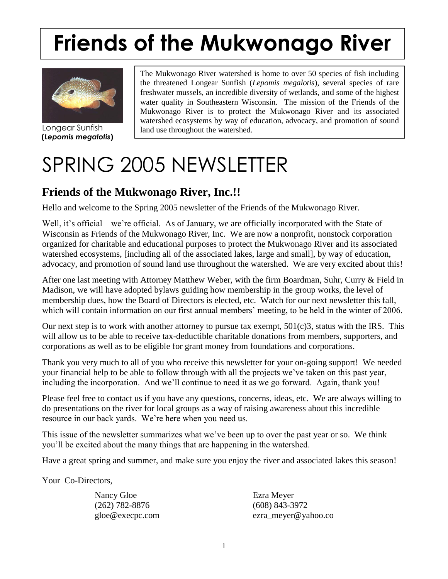# **Friends of the Mukwonago River**



Longear Sunfish  **(***Lepomis megalotis***)**

The Mukwonago River watershed is home to over 50 species of fish including the threatened Longear Sunfish (*Lepomis megalotis*), several species of rare freshwater mussels, an incredible diversity of wetlands, and some of the highest water quality in Southeastern Wisconsin. The mission of the Friends of the Mukwonago River is to protect the Mukwonago River and its associated watershed ecosystems by way of education, advocacy, and promotion of sound land use throughout the watershed.

## SPRING 2005 NEWSLETTER

#### **Friends of the Mukwonago River, Inc.!!**

Hello and welcome to the Spring 2005 newsletter of the Friends of the Mukwonago River.

Well, it's official – we're official. As of January, we are officially incorporated with the State of Wisconsin as Friends of the Mukwonago River, Inc. We are now a nonprofit, nonstock corporation organized for charitable and educational purposes to protect the Mukwonago River and its associated watershed ecosystems, [including all of the associated lakes, large and small], by way of education, advocacy, and promotion of sound land use throughout the watershed. We are very excited about this!

After one last meeting with Attorney Matthew Weber, with the firm Boardman, Suhr, Curry & Field in Madison, we will have adopted bylaws guiding how membership in the group works, the level of membership dues, how the Board of Directors is elected, etc. Watch for our next newsletter this fall, which will contain information on our first annual members' meeting, to be held in the winter of 2006.

Our next step is to work with another attorney to pursue tax exempt,  $501(c)3$ , status with the IRS. This will allow us to be able to receive tax-deductible charitable donations from members, supporters, and corporations as well as to be eligible for grant money from foundations and corporations.

Thank you very much to all of you who receive this newsletter for your on-going support! We needed your financial help to be able to follow through with all the projects we've taken on this past year, including the incorporation. And we'll continue to need it as we go forward. Again, thank you!

Please feel free to contact us if you have any questions, concerns, ideas, etc. We are always willing to do presentations on the river for local groups as a way of raising awareness about this incredible resource in our back yards. We're here when you need us.

This issue of the newsletter summarizes what we've been up to over the past year or so. We think you'll be excited about the many things that are happening in the watershed.

Have a great spring and summer, and make sure you enjoy the river and associated lakes this season!

Your Co-Directors,

Nancy Gloe Ezra Meyer (262) 782-8876 (608) 843-3972

gloe@execpc.com ezra meyer@yahoo.com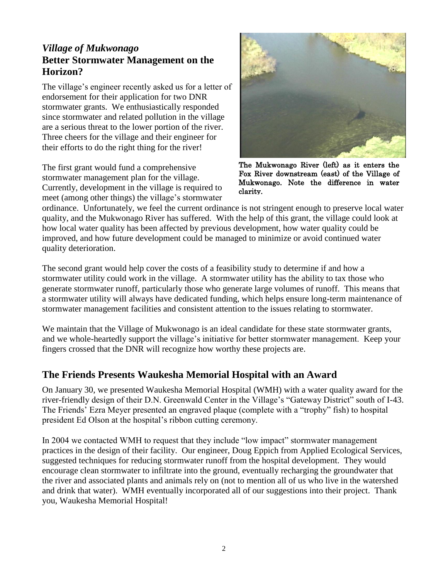#### *Village of Mukwonago* **Better Stormwater Management on the Horizon?**

The village's engineer recently asked us for a letter of endorsement for their application for two DNR stormwater grants. We enthusiastically responded since stormwater and related pollution in the village are a serious threat to the lower portion of the river. Three cheers for the village and their engineer for their efforts to do the right thing for the river!

The first grant would fund a comprehensive stormwater management plan for the village. Currently, development in the village is required to meet (among other things) the village's stormwater



The Mukwonago River (left) as it enters the Fox River downstream (east) of the Village of Mukwonago. Note the difference in water clarity.

ordinance. Unfortunately, we feel the current ordinance is not stringent enough to preserve local water quality, and the Mukwonago River has suffered. With the help of this grant, the village could look at how local water quality has been affected by previous development, how water quality could be improved, and how future development could be managed to minimize or avoid continued water quality deterioration.

The second grant would help cover the costs of a feasibility study to determine if and how a stormwater utility could work in the village. A stormwater utility has the ability to tax those who generate stormwater runoff, particularly those who generate large volumes of runoff. This means that a stormwater utility will always have dedicated funding, which helps ensure long-term maintenance of stormwater management facilities and consistent attention to the issues relating to stormwater.

We maintain that the Village of Mukwonago is an ideal candidate for these state stormwater grants, and we whole-heartedly support the village's initiative for better stormwater management. Keep your fingers crossed that the DNR will recognize how worthy these projects are.

#### **The Friends Presents Waukesha Memorial Hospital with an Award**

On January 30, we presented Waukesha Memorial Hospital (WMH) with a water quality award for the river-friendly design of their D.N. Greenwald Center in the Village's "Gateway District" south of I-43. The Friends' Ezra Meyer presented an engraved plaque (complete with a "trophy" fish) to hospital president Ed Olson at the hospital's ribbon cutting ceremony.

In 2004 we contacted WMH to request that they include "low impact" stormwater management practices in the design of their facility. Our engineer, Doug Eppich from Applied Ecological Services, suggested techniques for reducing stormwater runoff from the hospital development. They would encourage clean stormwater to infiltrate into the ground, eventually recharging the groundwater that the river and associated plants and animals rely on (not to mention all of us who live in the watershed and drink that water). WMH eventually incorporated all of our suggestions into their project. Thank you, Waukesha Memorial Hospital!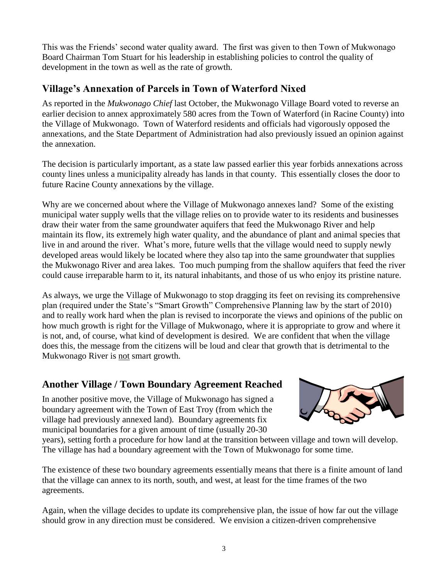This was the Friends' second water quality award. The first was given to then Town of Mukwonago Board Chairman Tom Stuart for his leadership in establishing policies to control the quality of development in the town as well as the rate of growth.

#### **Village's Annexation of Parcels in Town of Waterford Nixed**

As reported in the *Mukwonago Chief* last October, the Mukwonago Village Board voted to reverse an earlier decision to annex approximately 580 acres from the Town of Waterford (in Racine County) into the Village of Mukwonago. Town of Waterford residents and officials had vigorously opposed the annexations, and the State Department of Administration had also previously issued an opinion against the annexation.

The decision is particularly important, as a state law passed earlier this year forbids annexations across county lines unless a municipality already has lands in that county. This essentially closes the door to future Racine County annexations by the village.

Why are we concerned about where the Village of Mukwonago annexes land? Some of the existing municipal water supply wells that the village relies on to provide water to its residents and businesses draw their water from the same groundwater aquifers that feed the Mukwonago River and help maintain its flow, its extremely high water quality, and the abundance of plant and animal species that live in and around the river. What's more, future wells that the village would need to supply newly developed areas would likely be located where they also tap into the same groundwater that supplies the Mukwonago River and area lakes. Too much pumping from the shallow aquifers that feed the river could cause irreparable harm to it, its natural inhabitants, and those of us who enjoy its pristine nature.

As always, we urge the Village of Mukwonago to stop dragging its feet on revising its comprehensive plan (required under the State's "Smart Growth" Comprehensive Planning law by the start of 2010) and to really work hard when the plan is revised to incorporate the views and opinions of the public on how much growth is right for the Village of Mukwonago, where it is appropriate to grow and where it is not, and, of course, what kind of development is desired. We are confident that when the village does this, the message from the citizens will be loud and clear that growth that is detrimental to the Mukwonago River is not smart growth.

#### **Another Village / Town Boundary Agreement Reached**

In another positive move, the Village of Mukwonago has signed a boundary agreement with the Town of East Troy (from which the village had previously annexed land). Boundary agreements fix municipal boundaries for a given amount of time (usually 20-30



years), setting forth a procedure for how land at the transition between village and town will develop. The village has had a boundary agreement with the Town of Mukwonago for some time.

The existence of these two boundary agreements essentially means that there is a finite amount of land that the village can annex to its north, south, and west, at least for the time frames of the two agreements.

Again, when the village decides to update its comprehensive plan, the issue of how far out the village should grow in any direction must be considered. We envision a citizen-driven comprehensive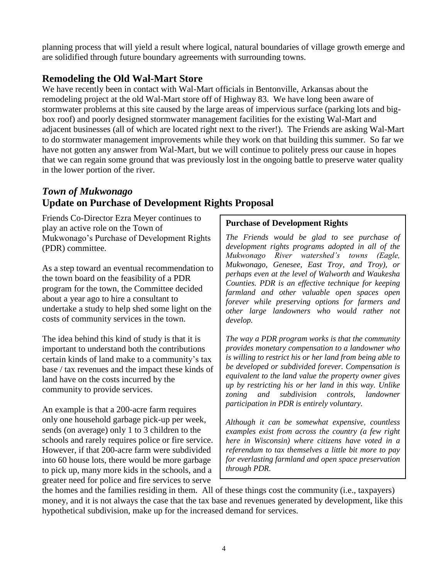planning process that will yield a result where logical, natural boundaries of village growth emerge and are solidified through future boundary agreements with surrounding towns.

#### **Remodeling the Old Wal-Mart Store**

We have recently been in contact with Wal-Mart officials in Bentonville, Arkansas about the remodeling project at the old Wal-Mart store off of Highway 83. We have long been aware of stormwater problems at this site caused by the large areas of impervious surface (parking lots and bigbox roof) and poorly designed stormwater management facilities for the existing Wal-Mart and adjacent businesses (all of which are located right next to the river!). The Friends are asking Wal-Mart to do stormwater management improvements while they work on that building this summer. So far we have not gotten any answer from Wal-Mart, but we will continue to politely press our cause in hopes that we can regain some ground that was previously lost in the ongoing battle to preserve water quality in the lower portion of the river.

#### *Town of Mukwonago* **Update on Purchase of Development Rights Proposal**

Friends Co-Director Ezra Meyer continues to play an active role on the Town of Mukwonago's Purchase of Development Rights (PDR) committee.

As a step toward an eventual recommendation to the town board on the feasibility of a PDR program for the town, the Committee decided about a year ago to hire a consultant to undertake a study to help shed some light on the costs of community services in the town.

The idea behind this kind of study is that it is important to understand both the contributions certain kinds of land make to a community's tax base / tax revenues and the impact these kinds of land have on the costs incurred by the community to provide services.

An example is that a 200-acre farm requires only one household garbage pick-up per week, sends (on average) only 1 to 3 children to the schools and rarely requires police or fire service. However, if that 200-acre farm were subdivided into 60 house lots, there would be more garbage to pick up, many more kids in the schools, and a greater need for police and fire services to serve

#### **Purchase of Development Rights**

*The Friends would be glad to see purchase of development rights programs adopted in all of the Mukwonago River watershed's towns (Eagle, Mukwonago, Genesee, East Troy, and Troy), or perhaps even at the level of Walworth and Waukesha Counties. PDR is an effective technique for keeping farmland and other valuable open spaces open forever while preserving options for farmers and other large landowners who would rather not develop.*

*The way a PDR program works is that the community provides monetary compensation to a landowner who is willing to restrict his or her land from being able to be developed or subdivided forever. Compensation is equivalent to the land value the property owner gives up by restricting his or her land in this way. Unlike zoning and subdivision controls, landowner participation in PDR is entirely voluntary.* 

*Although it can be somewhat expensive, countless examples exist from across the country (a few right here in Wisconsin) where citizens have voted in a referendum to tax themselves a little bit more to pay for everlasting farmland and open space preservation through PDR.* 

the homes and the families residing in them. All of these things cost the community (i.e., taxpayers) money, and it is not always the case that the tax base and revenues generated by development, like this hypothetical subdivision, make up for the increased demand for services.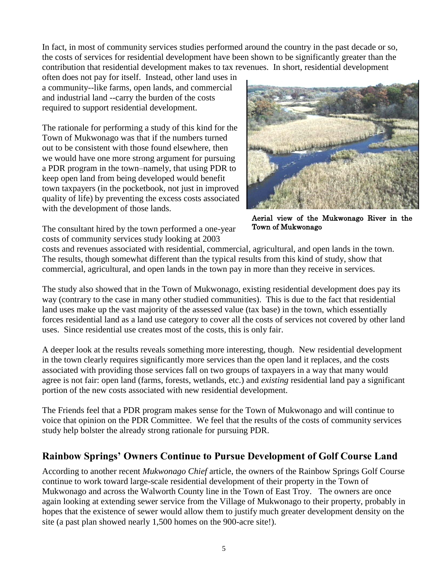In fact, in most of community services studies performed around the country in the past decade or so, the costs of services for residential development have been shown to be significantly greater than the contribution that residential development makes to tax revenues. In short, residential development

often does not pay for itself. Instead, other land uses in a community--like farms, open lands, and commercial and industrial land --carry the burden of the costs required to support residential development.

The rationale for performing a study of this kind for the Town of Mukwonago was that if the numbers turned out to be consistent with those found elsewhere, then we would have one more strong argument for pursuing a PDR program in the town–namely, that using PDR to keep open land from being developed would benefit town taxpayers (in the pocketbook, not just in improved quality of life) by preventing the excess costs associated with the development of those lands.



Aerial view of the Mukwonago River in the Town of Mukwonago

The consultant hired by the town performed a one-year costs of community services study looking at 2003

costs and revenues associated with residential, commercial, agricultural, and open lands in the town. The results, though somewhat different than the typical results from this kind of study, show that commercial, agricultural, and open lands in the town pay in more than they receive in services.

The study also showed that in the Town of Mukwonago, existing residential development does pay its way (contrary to the case in many other studied communities). This is due to the fact that residential land uses make up the vast majority of the assessed value (tax base) in the town, which essentially forces residential land as a land use category to cover all the costs of services not covered by other land uses. Since residential use creates most of the costs, this is only fair.

A deeper look at the results reveals something more interesting, though. New residential development in the town clearly requires significantly more services than the open land it replaces, and the costs associated with providing those services fall on two groups of taxpayers in a way that many would agree is not fair: open land (farms, forests, wetlands, etc.) and *existing* residential land pay a significant portion of the new costs associated with new residential development.

The Friends feel that a PDR program makes sense for the Town of Mukwonago and will continue to voice that opinion on the PDR Committee. We feel that the results of the costs of community services study help bolster the already strong rationale for pursuing PDR.

#### **Rainbow Springs' Owners Continue to Pursue Development of Golf Course Land**

According to another recent *Mukwonago Chief* article, the owners of the Rainbow Springs Golf Course continue to work toward large-scale residential development of their property in the Town of Mukwonago and across the Walworth County line in the Town of East Troy. The owners are once again looking at extending sewer service from the Village of Mukwonago to their property, probably in hopes that the existence of sewer would allow them to justify much greater development density on the site (a past plan showed nearly 1,500 homes on the 900-acre site!).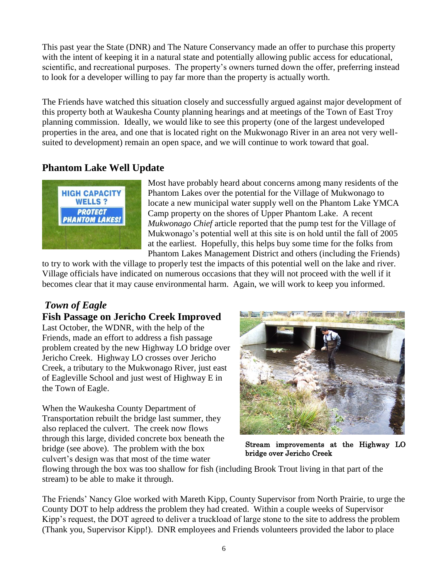This past year the State (DNR) and The Nature Conservancy made an offer to purchase this property with the intent of keeping it in a natural state and potentially allowing public access for educational, scientific, and recreational purposes. The property's owners turned down the offer, preferring instead to look for a developer willing to pay far more than the property is actually worth.

The Friends have watched this situation closely and successfully argued against major development of this property both at Waukesha County planning hearings and at meetings of the Town of East Troy planning commission. Ideally, we would like to see this property (one of the largest undeveloped properties in the area, and one that is located right on the Mukwonago River in an area not very wellsuited to development) remain an open space, and we will continue to work toward that goal.

#### **Phantom Lake Well Update**



Most have probably heard about concerns among many residents of the Phantom Lakes over the potential for the Village of Mukwonago to locate a new municipal water supply well on the Phantom Lake YMCA Camp property on the shores of Upper Phantom Lake. A recent *Mukwonago Chief* article reported that the pump test for the Village of Mukwonago's potential well at this site is on hold until the fall of 2005 at the earliest. Hopefully, this helps buy some time for the folks from Phantom Lakes Management District and others (including the Friends)

to try to work with the village to properly test the impacts of this potential well on the lake and river. Village officials have indicated on numerous occasions that they will not proceed with the well if it becomes clear that it may cause environmental harm. Again, we will work to keep you informed.

#### *Town of Eagle*

#### **Fish Passage on Jericho Creek Improved**

Last October, the WDNR, with the help of the Friends, made an effort to address a fish passage problem created by the new Highway LO bridge over Jericho Creek. Highway LO crosses over Jericho Creek, a tributary to the Mukwonago River, just east of Eagleville School and just west of Highway E in the Town of Eagle.

When the Waukesha County Department of Transportation rebuilt the bridge last summer, they also replaced the culvert. The creek now flows through this large, divided concrete box beneath the bridge (see above). The problem with the box culvert's design was that most of the time water



Stream improvements at the Highway LO bridge over Jericho Creek

flowing through the box was too shallow for fish (including Brook Trout living in that part of the stream) to be able to make it through.

The Friends' Nancy Gloe worked with Mareth Kipp, County Supervisor from North Prairie, to urge the County DOT to help address the problem they had created. Within a couple weeks of Supervisor Kipp's request, the DOT agreed to deliver a truckload of large stone to the site to address the problem (Thank you, Supervisor Kipp!). DNR employees and Friends volunteers provided the labor to place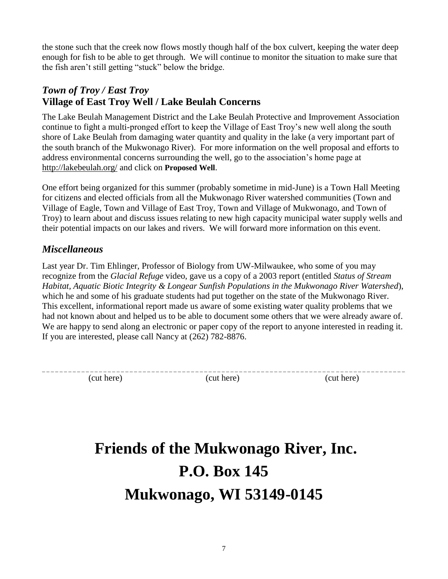the stone such that the creek now flows mostly though half of the box culvert, keeping the water deep enough for fish to be able to get through. We will continue to monitor the situation to make sure that the fish aren't still getting "stuck" below the bridge.

#### *Town of Troy / East Troy* **Village of East Troy Well / Lake Beulah Concerns**

The Lake Beulah Management District and the Lake Beulah Protective and Improvement Association continue to fight a multi-pronged effort to keep the Village of East Troy's new well along the south shore of Lake Beulah from damaging water quantity and quality in the lake (a very important part of the south branch of the Mukwonago River). For more information on the well proposal and efforts to address environmental concerns surrounding the well, go to the association's home page at <http://lakebeulah.org/> and click on **Proposed Well**.

One effort being organized for this summer (probably sometime in mid-June) is a Town Hall Meeting for citizens and elected officials from all the Mukwonago River watershed communities (Town and Village of Eagle, Town and Village of East Troy, Town and Village of Mukwonago, and Town of Troy) to learn about and discuss issues relating to new high capacity municipal water supply wells and their potential impacts on our lakes and rivers. We will forward more information on this event.

#### *Miscellaneous*

Last year Dr. Tim Ehlinger, Professor of Biology from UW-Milwaukee, who some of you may recognize from the *Glacial Refuge* video, gave us a copy of a 2003 report (entitled *Status of Stream Habitat, Aquatic Biotic Integrity & Longear Sunfish Populations in the Mukwonago River Watershed*), which he and some of his graduate students had put together on the state of the Mukwonago River. This excellent, informational report made us aware of some existing water quality problems that we had not known about and helped us to be able to document some others that we were already aware of. We are happy to send along an electronic or paper copy of the report to anyone interested in reading it. If you are interested, please call Nancy at (262) 782-8876.

\_ \_ \_ \_ \_ \_ \_ \_ \_ \_ \_ \_ \_ \_ \_ \_ \_ \_ \_ \_ \_ \_ \_ \_ \_ \_ \_ \_ \_ \_ \_ \_ \_ \_ \_ \_ \_ \_ \_ \_ \_ \_ \_ \_ \_ \_ \_ \_ \_ \_ \_ \_ \_ \_ \_ \_ \_ \_ \_ \_ \_ \_ \_ \_ \_ \_ \_ \_ \_ \_ \_ \_ \_ \_ \_ \_ \_ \_ \_ \_ \_ \_ \_

(cut here) (cut here) (cut here)

### **Friends of the Mukwonago River, Inc. P.O. Box 145 Mukwonago, WI 53149-0145**